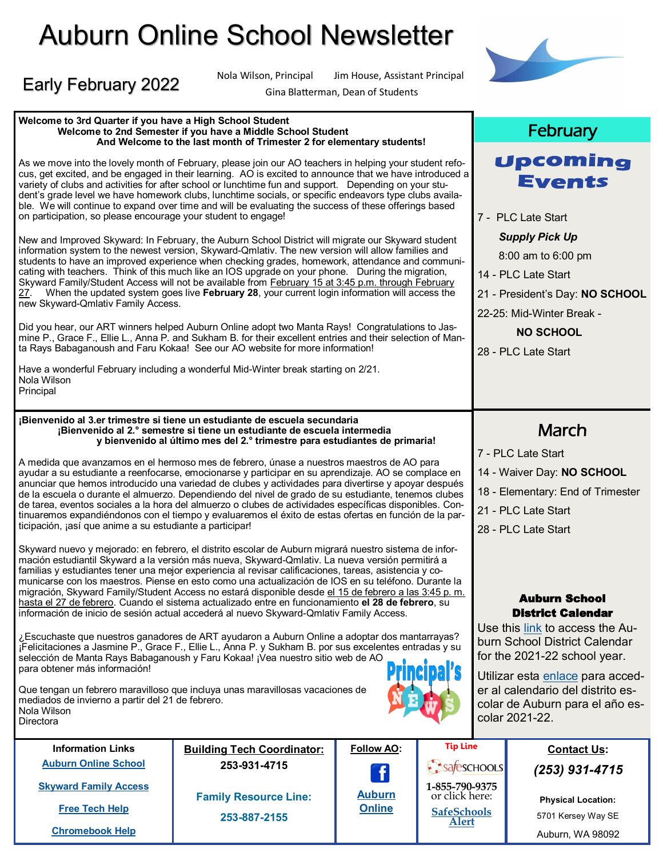# Auburn Online School Newsletter

**And Welcome to the last month of Trimester 2 for elementary students!**

# Early February 2022

Nola Wilson **Directora** 

**Welcome to 3rd Quarter if you have a High School Student**

**Welcome to 2nd Semester if you have a Middle School Student**

Nola Wilson, Principal Jim House, Assistant Principal



Gina Blatterman, Dean of Students

#### As we move into the lovely month of February, please join our AO teachers in helping your student refocus, get excited, and be engaged in their learning. AO is excited to announce that we have introduced a variety of clubs and activities for after school or lunchtime fun and support. Depending on your student's grade level we have homework clubs, lunchtime socials, or specific endeavors type clubs available. We will continue to expand over time and will be evaluating the success of these offerings based on participation, so please encourage your student to engage! New and Improved Skyward: In February, the Auburn School District will migrate our Skyward student information system to the newest version, Skyward-Qmlativ. The new version will allow families and students to have an improved experience when checking grades, homework, attendance and communicating with teachers. Think of this much like an IOS upgrade on your phone. During the migration, Skyward Family/Student Access will not be available from February 15 at 3:45 p.m. through February 27. When the updated system goes live **February 28**, your current login information will access the new Skyward-Qmlativ Family Access. Did you hear, our ART winners helped Auburn Online adopt two Manta Rays! Congratulations to Jasmine P., Grace F., Ellie L., Anna P. and Sukham B. for their excellent entries and their selection of Manta Rays Babaganoush and Faru Kokaa! See our AO website for more information! Have a wonderful February including a wonderful Mid-Winter break starting on 2/21. Nola Wilson Principal **¡Bienvenido al 3.er trimestre si tiene un estudiante de escuela secundaria ¡Bienvenido al 2.° semestre si tiene un estudiante de escuela intermedia y bienvenido al último mes del 2.° trimestre para estudiantes de primaria!** A medida que avanzamos en el hermoso mes de febrero, únase a nuestros maestros de AO para ayudar a su estudiante a reenfocarse, emocionarse y participar en su aprendizaje. AO se complace en anunciar que hemos introducido una variedad de clubes y actividades para divertirse y apoyar después de la escuela o durante el almuerzo. Dependiendo del nivel de grado de su estudiante, tenemos clubes de tarea, eventos sociales a la hora del almuerzo o clubes de actividades específicas disponibles. Continuaremos expandiéndonos con el tiempo y evaluaremos el éxito de estas ofertas en función de la participación, ¡así que anime a su estudiante a participar! Skyward nuevo y mejorado: en febrero, el distrito escolar de Auburn migrará nuestro sistema de información estudiantil Skyward a la versión más nueva, Skyward-Qmlativ. La nueva versión permitirá a familias y estudiantes tener una mejor experiencia al revisar calificaciones, tareas, asistencia y comunicarse con los maestros. Piense en esto como una actualización de IOS en su teléfono. Durante la migración, Skyward Family/Student Access no estará disponible desde el 15 de febrero a las 3:45 p. m. hasta el 27 de febrero. Cuando el sistema actualizado entre en funcionamiento **el 28 de febrero**, su información de inicio de sesión actual accederá al nuevo Skyward-Qmlativ Family Access. ¿Escuchaste que nuestros ganadores de ART ayudaron a Auburn Online a adoptar dos mantarrayas? ¡Felicitaciones a Jasmine P., Grace F., Ellie L., Anna P. y Sukham B. por sus excelentes entradas y su

selección de Manta Rays Babaganoush y Faru Kokaa! ¡Vea nuestro sitio web de AO para obtener más información! Que tengan un febrero maravilloso que incluya unas maravillosas vacaciones de mediados de invierno a partir del 21 de febrero.



Upcoming **Events** 

**February** 

- PLC Late Start *Supply Pick Up*  8:00 am to 6:00 pm - PLC Late Start - President's Day: **NO SCHOOL** -25: Mid-Winter Break - **NO SCHOOL** - PLC Late Start  $\overline{a}$ March - PLC Late Start - Waiver Day: **NO SCHOOL** - Elementary: End of Trimester - PLC Late Start - PLC Late Start

#### Auburn School District Calendar

Use this [link](https://drive.google.com/file/d/17mpGVodx_5JBZjs0HcSor4XhK-AAArjl/view?usp=sharing) to access the Auburn School District Calendar for the 2021-22 school year.

Utilizar esta [enlace](https://drive.google.com/file/d/17mpGVodx_5JBZjs0HcSor4XhK-AAArjl/view?usp=sharing) para acceder al calendario del distrito escolar de Auburn para el año escolar 2021-22.

| <b>Information Links</b>     | <b>Building Tech Coordinator:</b> | Follow AO:    | <b>Tip Line</b>                  | <b>Contact Us:</b>                              |
|------------------------------|-----------------------------------|---------------|----------------------------------|-------------------------------------------------|
| <b>Auburn Online School</b>  | 253-931-4715                      | $\mathbf f$   | Safeschools                      | $(253)$ 931-4715                                |
| <b>Skyward Family Access</b> | <b>Family Resource Line:</b>      | <b>Auburn</b> | 1-855-790-9375<br>or click here: |                                                 |
| <b>Free Tech Help</b>        | 253-887-2155                      | <b>Online</b> | <b>SafeSchools</b>               | <b>Physical Location:</b><br>5701 Kersey Way SE |
| <b>Chromebook Help</b>       |                                   |               | <b>Alert</b>                     | Auburn, WA 98092                                |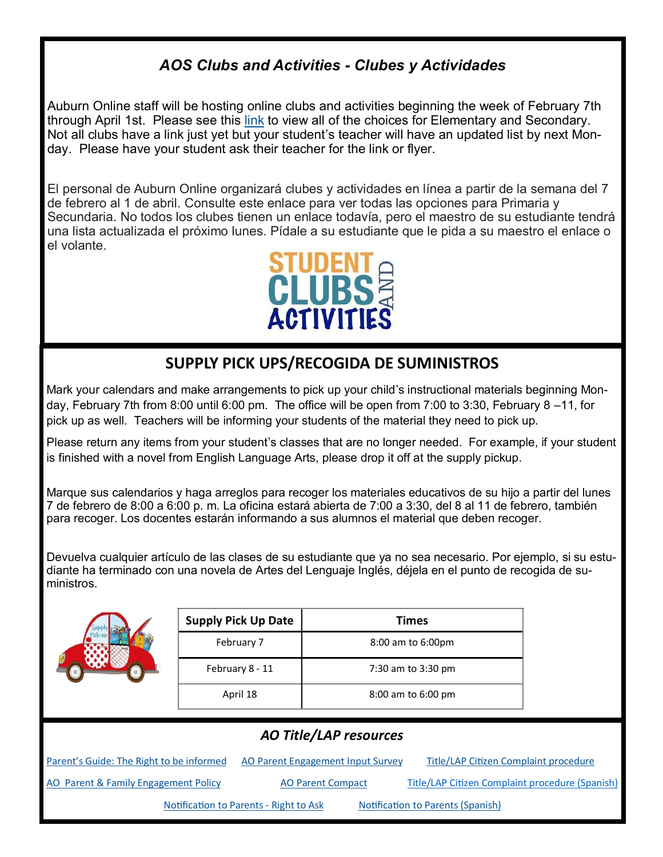### *AOS Clubs and Activities - Clubes y Actividades*

Auburn Online staff will be hosting online clubs and activities beginning the week of February 7th through April 1st. Please see this [link](https://drive.google.com/file/d/1-8FWEVjEQBYCyN3qfZML_4YY54o_sdmt/view?usp=sharing) to view all of the choices for Elementary and Secondary. Not all clubs have a link just yet but your student's teacher will have an updated list by next Monday. Please have your student ask their teacher for the link or flyer.

El personal de Auburn Online organizará clubes y actividades en línea a partir de la semana del 7 de febrero al 1 de abril. Consulte este enlace para ver todas las opciones para Primaria y Secundaria. No todos los clubes tienen un enlace todavía, pero el maestro de su estudiante tendrá una lista actualizada el próximo lunes. Pídale a su estudiante que le pida a su maestro el enlace o el volante.



## **SUPPLY PICK UPS/RECOGIDA DE SUMINISTROS**

Mark your calendars and make arrangements to pick up your child's instructional materials beginning Monday, February 7th from 8:00 until 6:00 pm. The office will be open from 7:00 to 3:30, February 8 –11, for pick up as well. Teachers will be informing your students of the material they need to pick up.

Please return any items from your student's classes that are no longer needed. For example, if your student is finished with a novel from English Language Arts, please drop it off at the supply pickup.

Marque sus calendarios y haga arreglos para recoger los materiales educativos de su hijo a partir del lunes 7 de febrero de 8:00 a 6:00 p. m. La oficina estará abierta de 7:00 a 3:30, del 8 al 11 de febrero, también para recoger. Los docentes estarán informando a sus alumnos el material que deben recoger.

Devuelva cualquier artículo de las clases de su estudiante que ya no sea necesario. Por ejemplo, si su estudiante ha terminado con una novela de Artes del Lenguaje Inglés, déjela en el punto de recogida de suministros.



| <b>Supply Pick Up Date</b> | <b>Times</b>       |
|----------------------------|--------------------|
| February 7                 | 8:00 am to 6:00pm  |
| February 8 - 11            | 7:30 am to 3:30 pm |
| April 18                   | 8:00 am to 6:00 pm |

| <b>AO Title/LAP resources</b>            |                                               |                                                 |  |  |  |  |
|------------------------------------------|-----------------------------------------------|-------------------------------------------------|--|--|--|--|
| Parent's Guide: The Right to be informed | AO Parent Engagement Input Survey             | Title/LAP Citizen Complaint procedure           |  |  |  |  |
| AO Parent & Family Engagement Policy     | <b>AO Parent Compact</b>                      | Title/LAP Citizen Complaint procedure (Spanish) |  |  |  |  |
|                                          | <b>Notification to Parents - Right to Ask</b> | <b>Notification to Parents (Spanish)</b>        |  |  |  |  |